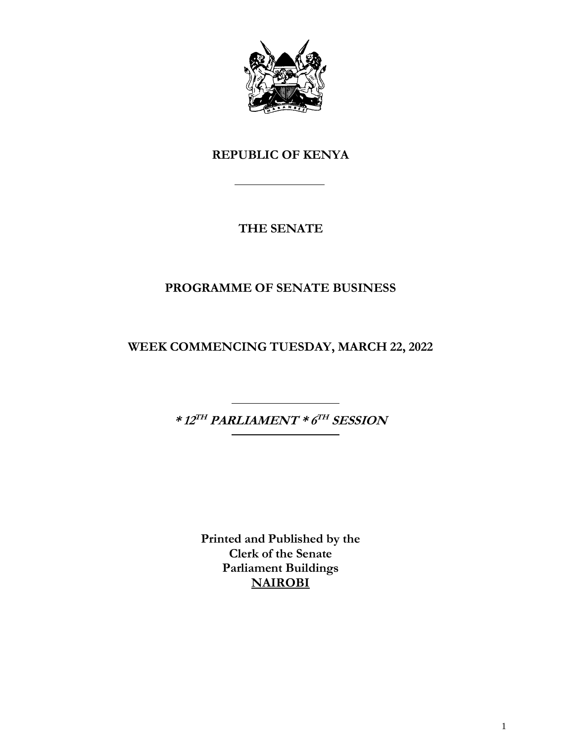

# **REPUBLIC OF KENYA**

# **THE SENATE**

# **PROGRAMME OF SENATE BUSINESS**

**WEEK COMMENCING TUESDAY, MARCH 22, 2022**

**\* 12 TH PARLIAMENT \* 6 TH SESSION**

**Printed and Published by the Clerk of the Senate Parliament Buildings NAIROBI**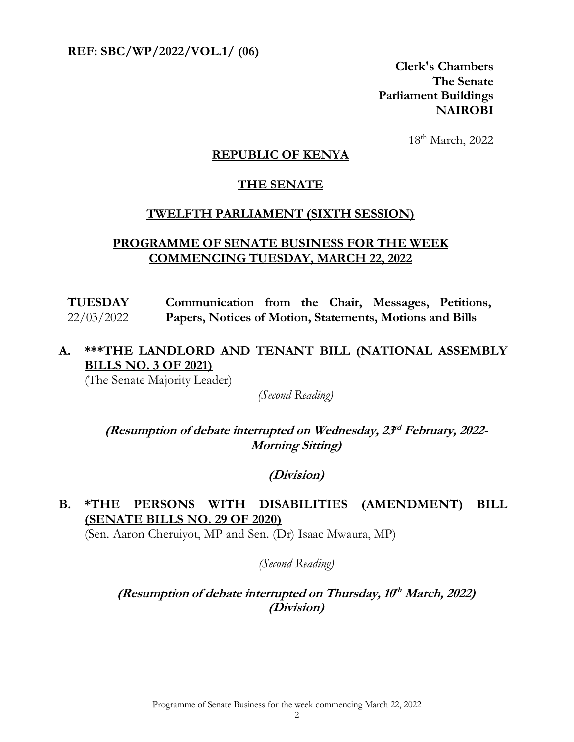**REF: SBC/WP/2022/VOL.1/ (06)** 

**Clerk's Chambers The Senate Parliament Buildings NAIROBI**

18th March, 2022

#### **REPUBLIC OF KENYA**

#### **THE SENATE**

#### **TWELFTH PARLIAMENT (SIXTH SESSION)**

#### **PROGRAMME OF SENATE BUSINESS FOR THE WEEK COMMENCING TUESDAY, MARCH 22, 2022**

**TUESDAY** 22/03/2022 **Communication from the Chair, Messages, Petitions, Papers, Notices of Motion, Statements, Motions and Bills**

## **A. \*\*\*THE LANDLORD AND TENANT BILL (NATIONAL ASSEMBLY BILLS NO. 3 OF 2021)**

(The Senate Majority Leader)

*(Second Reading)*

**(Resumption of debate interrupted on Wednesday, 23 rd February, 2022- Morning Sitting)**

**(Division)**

## **B. \*THE PERSONS WITH DISABILITIES (AMENDMENT) BILL (SENATE BILLS NO. 29 OF 2020)**

(Sen. Aaron Cheruiyot, MP and Sen. (Dr) Isaac Mwaura, MP)

*(Second Reading)*

**(Resumption of debate interrupted on Thursday, 10 th March, 2022) (Division)**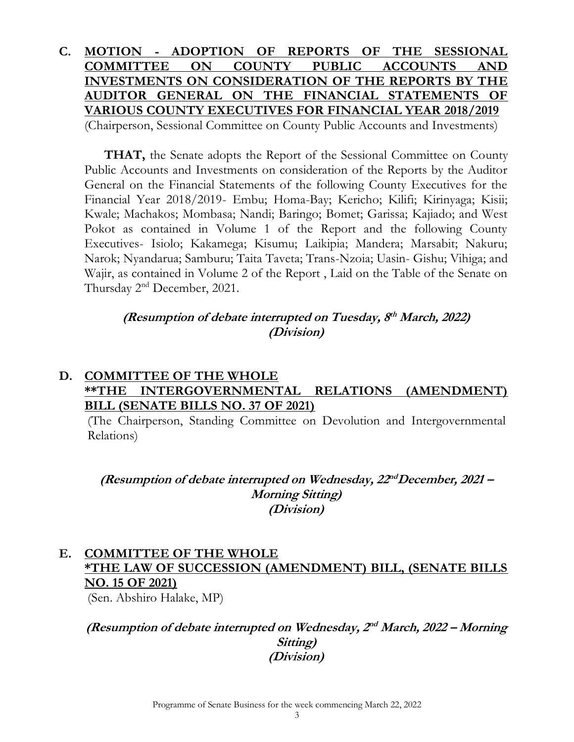#### **C. MOTION - ADOPTION OF REPORTS OF THE SESSIONAL COMMITTEE ON COUNTY PUBLIC ACCOUNTS AND INVESTMENTS ON CONSIDERATION OF THE REPORTS BY THE AUDITOR GENERAL ON THE FINANCIAL STATEMENTS OF VARIOUS COUNTY EXECUTIVES FOR FINANCIAL YEAR 2018/2019** (Chairperson, Sessional Committee on County Public Accounts and Investments)

**THAT,** the Senate adopts the Report of the Sessional Committee on County Public Accounts and Investments on consideration of the Reports by the Auditor General on the Financial Statements of the following County Executives for the Financial Year 2018/2019- Embu; Homa-Bay; Kericho; Kilifi; Kirinyaga; Kisii; Kwale; Machakos; Mombasa; Nandi; Baringo; Bomet; Garissa; Kajiado; and West Pokot as contained in Volume 1 of the Report and the following County Executives- Isiolo; Kakamega; Kisumu; Laikipia; Mandera; Marsabit; Nakuru; Narok; Nyandarua; Samburu; Taita Taveta; Trans-Nzoia; Uasin- Gishu; Vihiga; and Wajir, as contained in Volume 2 of the Report , Laid on the Table of the Senate on Thursday 2nd December, 2021.

#### **(Resumption of debate interrupted on Tuesday, 8 th March, 2022) (Division)**

#### **D. COMMITTEE OF THE WHOLE \*\*THE INTERGOVERNMENTAL RELATIONS (AMENDMENT) BILL (SENATE BILLS NO. 37 OF 2021)**

(The Chairperson, Standing Committee on Devolution and Intergovernmental Relations)

**(Resumption of debate interrupted on Wednesday, 22 ndDecember, 2021 – Morning Sitting) (Division)**

#### **E. COMMITTEE OF THE WHOLE \*THE LAW OF SUCCESSION (AMENDMENT) BILL, (SENATE BILLS NO. 15 OF 2021)**

(Sen. Abshiro Halake, MP)

**(Resumption of debate interrupted on Wednesday, 2 nd March, 2022 – Morning Sitting) (Division)**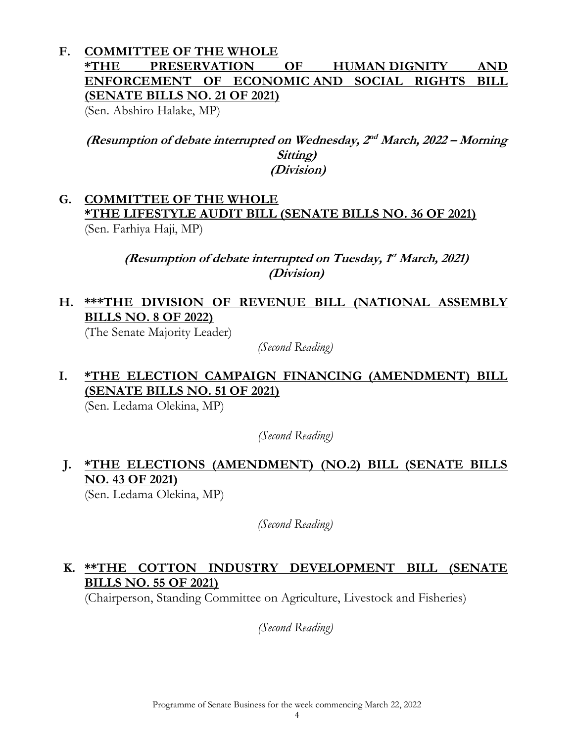## **F. COMMITTEE OF THE WHOLE \*THE PRESERVATION OF HUMAN DIGNITY AND ENFORCEMENT OF ECONOMIC AND SOCIAL RIGHTS BILL (SENATE BILLS NO. 21 OF 2021)**

(Sen. Abshiro Halake, MP)

**(Resumption of debate interrupted on Wednesday, 2 nd March, 2022 – Morning Sitting) (Division)**

#### **G. COMMITTEE OF THE WHOLE \*THE LIFESTYLE AUDIT BILL (SENATE BILLS NO. 36 OF 2021)**  (Sen. Farhiya Haji, MP)

**(Resumption of debate interrupted on Tuesday, 1 st March, 2021) (Division)**

## **H. \*\*\*THE DIVISION OF REVENUE BILL (NATIONAL ASSEMBLY BILLS NO. 8 OF 2022)**

(The Senate Majority Leader)

*(Second Reading)*

## **I. \*THE ELECTION CAMPAIGN FINANCING (AMENDMENT) BILL (SENATE BILLS NO. 51 OF 2021)**

(Sen. Ledama Olekina, MP)

*(Second Reading)*

#### **J. \*THE ELECTIONS (AMENDMENT) (NO.2) BILL (SENATE BILLS NO. 43 OF 2021)**  (Sen. Ledama Olekina, MP)

*(Second Reading)*

## **K. \*\*THE COTTON INDUSTRY DEVELOPMENT BILL (SENATE BILLS NO. 55 OF 2021)**

(Chairperson, Standing Committee on Agriculture, Livestock and Fisheries)

*(Second Reading)*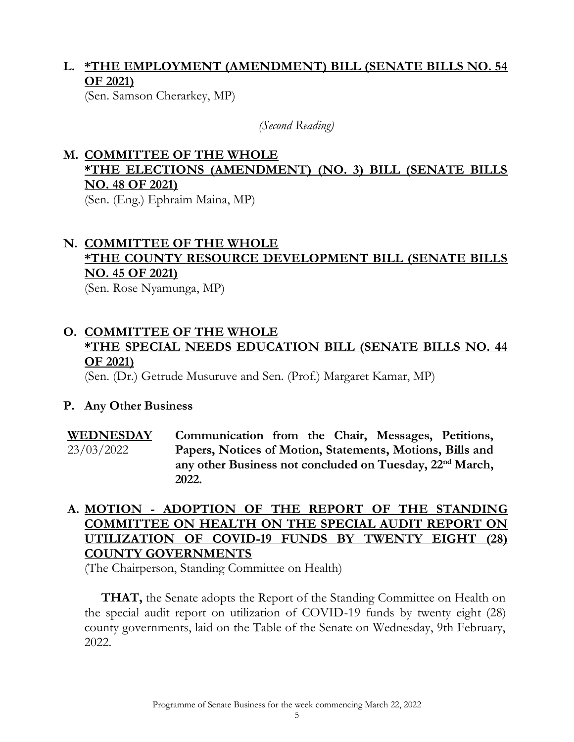## **L. \*THE EMPLOYMENT (AMENDMENT) BILL (SENATE BILLS NO. 54 OF 2021)**

(Sen. Samson Cherarkey, MP)

*(Second Reading)*

#### **M. COMMITTEE OF THE WHOLE \*THE ELECTIONS (AMENDMENT) (NO. 3) BILL (SENATE BILLS NO. 48 OF 2021)** (Sen. (Eng.) Ephraim Maina, MP)

# **N. COMMITTEE OF THE WHOLE \*THE COUNTY RESOURCE DEVELOPMENT BILL (SENATE BILLS NO. 45 OF 2021)**

(Sen. Rose Nyamunga, MP)

## **O. COMMITTEE OF THE WHOLE \*THE SPECIAL NEEDS EDUCATION BILL (SENATE BILLS NO. 44 OF 2021)**

(Sen. (Dr.) Getrude Musuruve and Sen. (Prof.) Margaret Kamar, MP)

#### **P. Any Other Business**

#### **WEDNESDAY**  23/03/2022 **Communication from the Chair, Messages, Petitions, Papers, Notices of Motion, Statements, Motions, Bills and any other Business not concluded on Tuesday, 22nd March, 2022.**

### **A. MOTION - ADOPTION OF THE REPORT OF THE STANDING COMMITTEE ON HEALTH ON THE SPECIAL AUDIT REPORT ON UTILIZATION OF COVID-19 FUNDS BY TWENTY EIGHT (28) COUNTY GOVERNMENTS**

(The Chairperson, Standing Committee on Health)

**THAT,** the Senate adopts the Report of the Standing Committee on Health on the special audit report on utilization of COVID-19 funds by twenty eight (28) county governments, laid on the Table of the Senate on Wednesday, 9th February, 2022.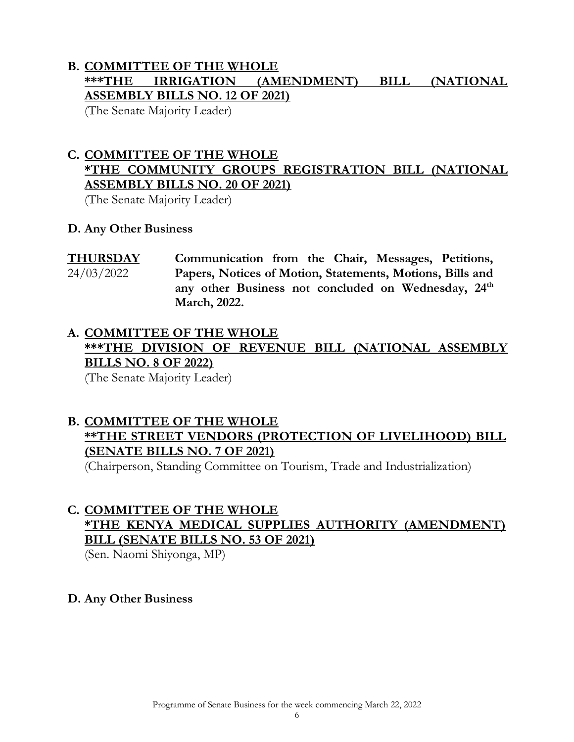## **B. COMMITTEE OF THE WHOLE \*\*\*THE IRRIGATION (AMENDMENT) BILL (NATIONAL ASSEMBLY BILLS NO. 12 OF 2021)**

(The Senate Majority Leader)

## **C. COMMITTEE OF THE WHOLE \*THE COMMUNITY GROUPS REGISTRATION BILL (NATIONAL ASSEMBLY BILLS NO. 20 OF 2021)**

(The Senate Majority Leader)

#### **D. Any Other Business**

**THURSDAY**  24/03/2022 **Communication from the Chair, Messages, Petitions, Papers, Notices of Motion, Statements, Motions, Bills and any other Business not concluded on Wednesday, 24th March, 2022.**

# **A. COMMITTEE OF THE WHOLE \*\*\*THE DIVISION OF REVENUE BILL (NATIONAL ASSEMBLY BILLS NO. 8 OF 2022)**

(The Senate Majority Leader)

#### **B. COMMITTEE OF THE WHOLE \*\*THE STREET VENDORS (PROTECTION OF LIVELIHOOD) BILL (SENATE BILLS NO. 7 OF 2021)**

(Chairperson, Standing Committee on Tourism, Trade and Industrialization)

## **C. COMMITTEE OF THE WHOLE \*THE KENYA MEDICAL SUPPLIES AUTHORITY (AMENDMENT) BILL (SENATE BILLS NO. 53 OF 2021)**

(Sen. Naomi Shiyonga, MP)

## **D. Any Other Business**